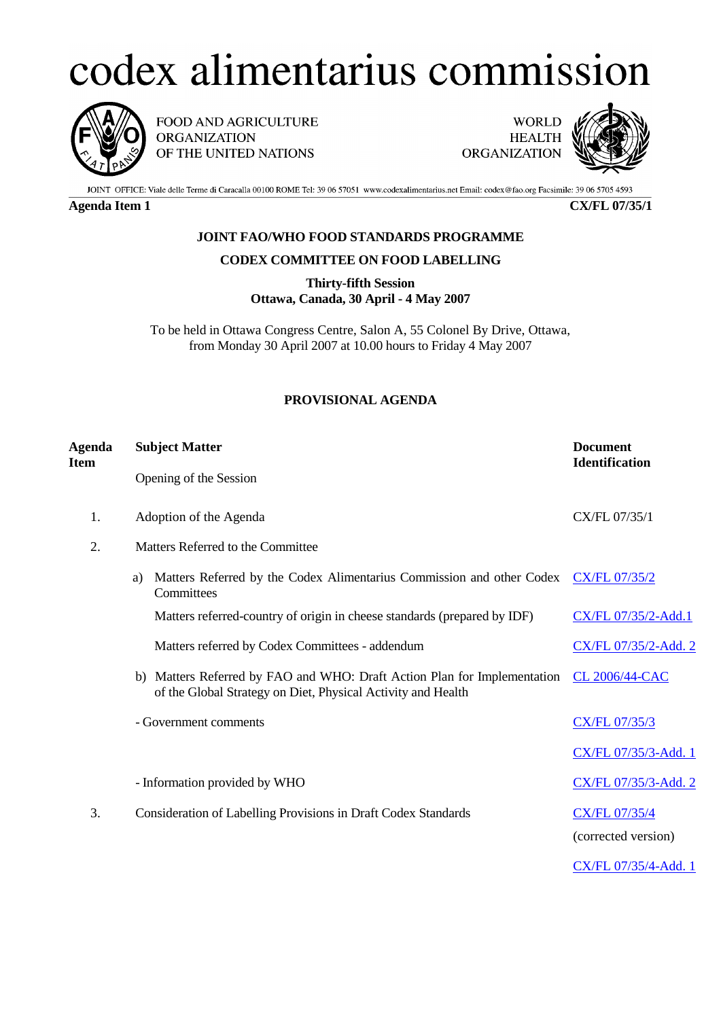## codex alimentarius commission



FOOD AND AGRICULTURE **ORGANIZATION** OF THE UNITED NATIONS

**WORLD HEALTH ORGANIZATION** 



JOINT OFFICE: Viale delle Terme di Caracalla 00100 ROME Tel: 39 06 57051 www.codexalimentarius.net Email: codex@fao.org Facsimile: 39 06 5705 4593

**Agenda Item 1 CX/FL 07/35/1**

## **JOINT FAO/WHO FOOD STANDARDS PROGRAMME**

## **CODEX COMMITTEE ON FOOD LABELLING**

**Thirty-fifth Session Ottawa, Canada, 30 April - 4 May 2007**

To be held in Ottawa Congress Centre, Salon A, 55 Colonel By Drive, Ottawa, from Monday 30 April 2007 at 10.00 hours to Friday 4 May 2007

## **PROVISIONAL AGENDA**

| Agenda<br><b>Item</b> | <b>Subject Matter</b>                                                                                                                       | <b>Document</b><br><b>Identification</b> |
|-----------------------|---------------------------------------------------------------------------------------------------------------------------------------------|------------------------------------------|
|                       | Opening of the Session                                                                                                                      |                                          |
| 1.                    | Adoption of the Agenda                                                                                                                      | CX/FL 07/35/1                            |
| 2.                    | Matters Referred to the Committee                                                                                                           |                                          |
|                       | Matters Referred by the Codex Alimentarius Commission and other Codex CX/FL 07/35/2<br>a)<br>Committees                                     |                                          |
|                       | Matters referred-country of origin in cheese standards (prepared by IDF)                                                                    | CX/FL 07/35/2-Add.1                      |
|                       | Matters referred by Codex Committees - addendum                                                                                             | CX/FL 07/35/2-Add. 2                     |
|                       | Matters Referred by FAO and WHO: Draft Action Plan for Implementation<br>b)<br>of the Global Strategy on Diet, Physical Activity and Health | <b>CL 2006/44-CAC</b>                    |
|                       | - Government comments                                                                                                                       | <b>CX/FL 07/35/3</b>                     |
|                       |                                                                                                                                             | CX/FL 07/35/3-Add. 1                     |
|                       | - Information provided by WHO                                                                                                               | CX/FL 07/35/3-Add. 2                     |
| 3.                    | Consideration of Labelling Provisions in Draft Codex Standards                                                                              | CX/FL 07/35/4                            |
|                       |                                                                                                                                             | (corrected version)                      |
|                       |                                                                                                                                             | CX/FL 07/35/4-Add. 1                     |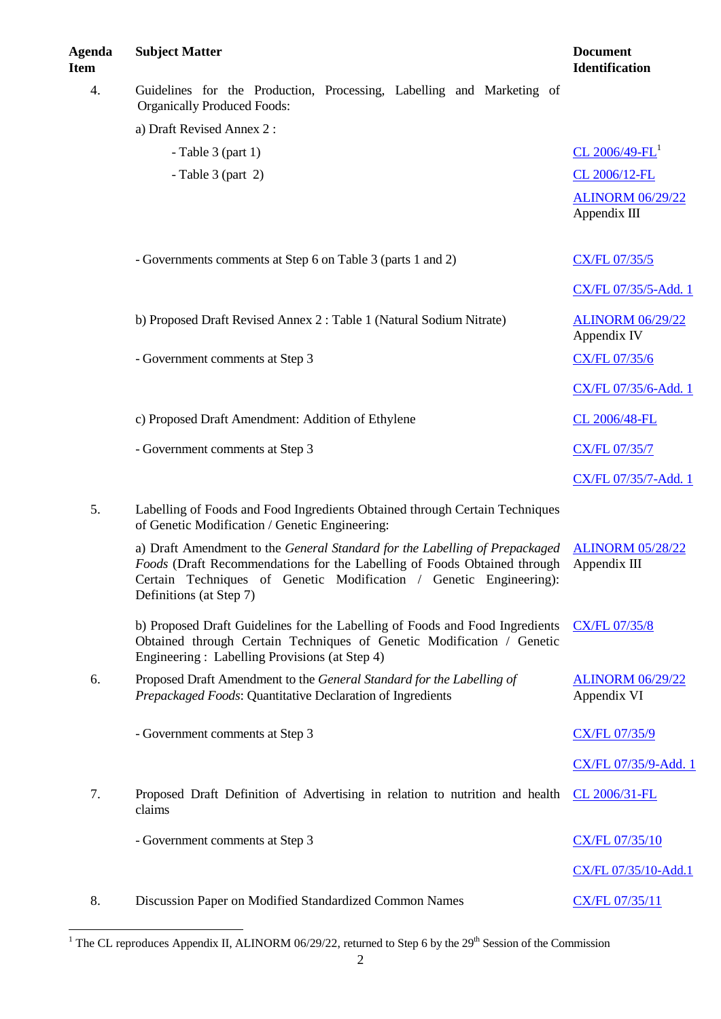l

| 4. | Guidelines for the Production, Processing, Labelling and Marketing of<br><b>Organically Produced Foods:</b>                                                                                                                                              |                                         |
|----|----------------------------------------------------------------------------------------------------------------------------------------------------------------------------------------------------------------------------------------------------------|-----------------------------------------|
|    | a) Draft Revised Annex 2:                                                                                                                                                                                                                                |                                         |
|    | - Table $3$ (part 1)                                                                                                                                                                                                                                     | CL 2006/49-FL <sup>1</sup>              |
|    | - Table $3$ (part 2)                                                                                                                                                                                                                                     | CL 2006/12-FL                           |
|    |                                                                                                                                                                                                                                                          | <b>ALINORM 06/29/22</b><br>Appendix III |
|    | - Governments comments at Step 6 on Table 3 (parts 1 and 2)                                                                                                                                                                                              | <b>CX/FL 07/35/5</b>                    |
|    |                                                                                                                                                                                                                                                          | CX/FL 07/35/5-Add. 1                    |
|    | b) Proposed Draft Revised Annex 2 : Table 1 (Natural Sodium Nitrate)                                                                                                                                                                                     | <b>ALINORM 06/29/22</b><br>Appendix IV  |
|    | - Government comments at Step 3                                                                                                                                                                                                                          | <b>CX/FL 07/35/6</b>                    |
|    |                                                                                                                                                                                                                                                          | CX/FL 07/35/6-Add. 1                    |
|    | c) Proposed Draft Amendment: Addition of Ethylene                                                                                                                                                                                                        | CL 2006/48-FL                           |
|    | - Government comments at Step 3                                                                                                                                                                                                                          | <b>CX/FL 07/35/7</b>                    |
|    |                                                                                                                                                                                                                                                          | CX/FL 07/35/7-Add. 1                    |
| 5. | Labelling of Foods and Food Ingredients Obtained through Certain Techniques<br>of Genetic Modification / Genetic Engineering:                                                                                                                            |                                         |
|    | a) Draft Amendment to the General Standard for the Labelling of Prepackaged<br>Foods (Draft Recommendations for the Labelling of Foods Obtained through<br>Certain Techniques of Genetic Modification / Genetic Engineering):<br>Definitions (at Step 7) | <b>ALINORM 05/28/22</b><br>Appendix III |
|    | b) Proposed Draft Guidelines for the Labelling of Foods and Food Ingredients<br>Obtained through Certain Techniques of Genetic Modification / Genetic<br>Engineering: Labelling Provisions (at Step 4)                                                   | <b>CX/FL 07/35/8</b>                    |
| 6. | Proposed Draft Amendment to the General Standard for the Labelling of<br>Prepackaged Foods: Quantitative Declaration of Ingredients                                                                                                                      | <b>ALINORM 06/29/22</b><br>Appendix VI  |
|    | - Government comments at Step 3                                                                                                                                                                                                                          | <b>CX/FL 07/35/9</b>                    |
|    |                                                                                                                                                                                                                                                          | CX/FL 07/35/9-Add. 1                    |
| 7. | Proposed Draft Definition of Advertising in relation to nutrition and health<br>claims                                                                                                                                                                   | CL 2006/31-FL                           |
|    | - Government comments at Step 3                                                                                                                                                                                                                          | <b>CX/FL 07/35/10</b>                   |
|    |                                                                                                                                                                                                                                                          | CX/FL 07/35/10-Add.1                    |
| 8. | Discussion Paper on Modified Standardized Common Names                                                                                                                                                                                                   | CX/FL 07/35/11                          |

<sup>1</sup> The CL reproduces Appendix II, ALINORM 06/29/22, returned to Step 6 by the 29<sup>th</sup> Session of the Commission